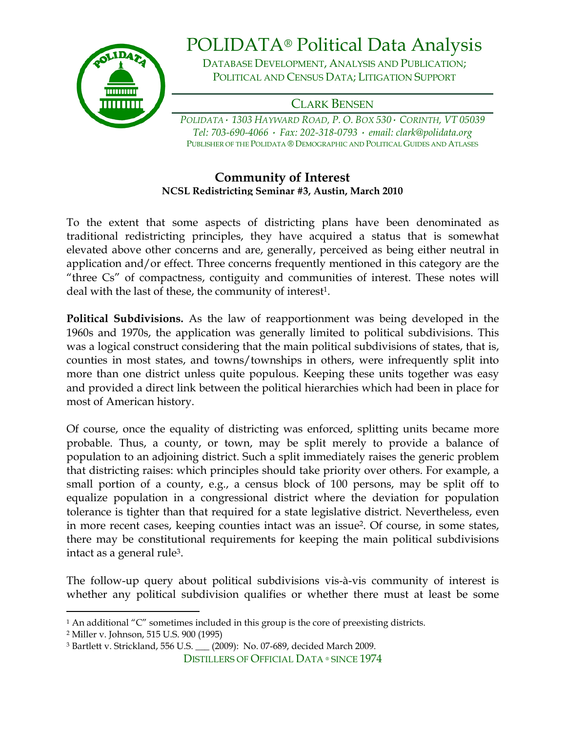

## POLIDATA® Political Data Analysis

DATABASE DEVELOPMENT, ANALYSIS AND PUBLICATION; POLITICAL AND CENSUS DATA; LITIGATION SUPPORT

CLARK BENSEN

*POLIDATA· 1303 HAYWARD ROAD, P. O. BOX 530· CORINTH, VT 05039 Tel: 703-690-4066 · Fax: 202-318-0793 · email: clark@polidata.org*  PUBLISHER OF THE POLIDATA ® DEMOGRAPHIC AND POLITICAL GUIDES AND ATLASES

## **Community of Interest NCSL Redistricting Seminar #3, Austin, March 2010**

To the extent that some aspects of districting plans have been denominated as traditional redistricting principles, they have acquired a status that is somewhat elevated above other concerns and are, generally, perceived as being either neutral in application and/or effect. Three concerns frequently mentioned in this category are the "three Cs" of compactness, contiguity and communities of interest. These notes will deal with the last of these, the community of interest<sup>1</sup>.

**Political Subdivisions.** As the law of reapportionment was being developed in the 1960s and 1970s, the application was generally limited to political subdivisions. This was a logical construct considering that the main political subdivisions of states, that is, counties in most states, and towns/townships in others, were infrequently split into more than one district unless quite populous. Keeping these units together was easy and provided a direct link between the political hierarchies which had been in place for most of American history.

Of course, once the equality of districting was enforced, splitting units became more probable. Thus, a county, or town, may be split merely to provide a balance of population to an adjoining district. Such a split immediately raises the generic problem that districting raises: which principles should take priority over others. For example, a small portion of a county, e.g., a census block of 100 persons, may be split off to equalize population in a congressional district where the deviation for population tolerance is tighter than that required for a state legislative district. Nevertheless, even in more recent cases, keeping counties intact was an issue<sup>2</sup>. Of course, in some states, there may be constitutional requirements for keeping the main political subdivisions intact as a general rule3.

The follow-up query about political subdivisions vis-à-vis community of interest is whether any political subdivision qualifies or whether there must at least be some

2 Miller v. Johnson, 515 U.S. 900 (1995)

 $\overline{a}$ 

<sup>1</sup> An additional "C" sometimes included in this group is the core of preexisting districts.

<sup>3</sup> Bartlett v. Strickland, 556 U.S. \_\_\_ (2009): No. 07-689, decided March 2009.

DISTILLERS OF OFFICIAL DATA ® SINCE 1974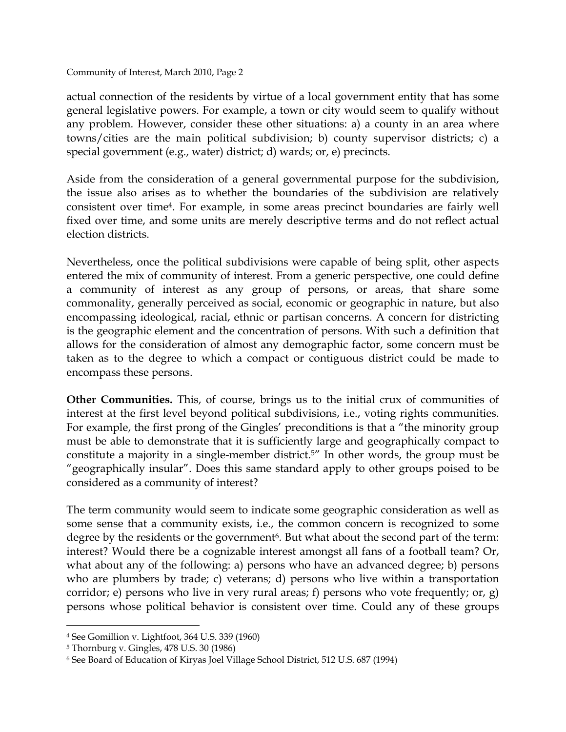Community of Interest, March 2010, Page 2

actual connection of the residents by virtue of a local government entity that has some general legislative powers. For example, a town or city would seem to qualify without any problem. However, consider these other situations: a) a county in an area where towns/cities are the main political subdivision; b) county supervisor districts; c) a special government (e.g., water) district; d) wards; or, e) precincts.

Aside from the consideration of a general governmental purpose for the subdivision, the issue also arises as to whether the boundaries of the subdivision are relatively consistent over time4. For example, in some areas precinct boundaries are fairly well fixed over time, and some units are merely descriptive terms and do not reflect actual election districts.

Nevertheless, once the political subdivisions were capable of being split, other aspects entered the mix of community of interest. From a generic perspective, one could define a community of interest as any group of persons, or areas, that share some commonality, generally perceived as social, economic or geographic in nature, but also encompassing ideological, racial, ethnic or partisan concerns. A concern for districting is the geographic element and the concentration of persons. With such a definition that allows for the consideration of almost any demographic factor, some concern must be taken as to the degree to which a compact or contiguous district could be made to encompass these persons.

**Other Communities.** This, of course, brings us to the initial crux of communities of interest at the first level beyond political subdivisions, i.e., voting rights communities. For example, the first prong of the Gingles' preconditions is that a "the minority group must be able to demonstrate that it is sufficiently large and geographically compact to constitute a majority in a single-member district.5" In other words, the group must be "geographically insular". Does this same standard apply to other groups poised to be considered as a community of interest?

The term community would seem to indicate some geographic consideration as well as some sense that a community exists, i.e., the common concern is recognized to some degree by the residents or the government<sup>6</sup>. But what about the second part of the term: interest? Would there be a cognizable interest amongst all fans of a football team? Or, what about any of the following: a) persons who have an advanced degree; b) persons who are plumbers by trade; c) veterans; d) persons who live within a transportation corridor; e) persons who live in very rural areas; f) persons who vote frequently; or, g) persons whose political behavior is consistent over time. Could any of these groups

 $\overline{a}$ 

<sup>4</sup> See Gomillion v. Lightfoot, 364 U.S. 339 (1960)

<sup>5</sup> Thornburg v. Gingles, 478 U.S. 30 (1986)

<sup>6</sup> See Board of Education of Kiryas Joel Village School District, 512 U.S. 687 (1994)